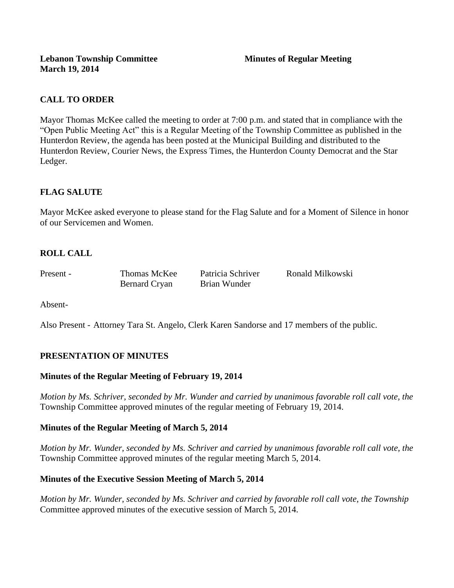## **CALL TO ORDER**

Mayor Thomas McKee called the meeting to order at 7:00 p.m. and stated that in compliance with the "Open Public Meeting Act" this is a Regular Meeting of the Township Committee as published in the Hunterdon Review, the agenda has been posted at the Municipal Building and distributed to the Hunterdon Review, Courier News, the Express Times, the Hunterdon County Democrat and the Star Ledger.

## **FLAG SALUTE**

Mayor McKee asked everyone to please stand for the Flag Salute and for a Moment of Silence in honor of our Servicemen and Women.

# **ROLL CALL**

Bernard Cryan Brian Wunder

Present - Thomas McKee Patricia Schriver Ronald Milkowski

Absent-

Also Present - Attorney Tara St. Angelo, Clerk Karen Sandorse and 17 members of the public.

## **PRESENTATION OF MINUTES**

## **Minutes of the Regular Meeting of February 19, 2014**

*Motion by Ms. Schriver, seconded by Mr. Wunder and carried by unanimous favorable roll call vote, the*  Township Committee approved minutes of the regular meeting of February 19, 2014.

### **Minutes of the Regular Meeting of March 5, 2014**

*Motion by Mr. Wunder, seconded by Ms. Schriver and carried by unanimous favorable roll call vote, the*  Township Committee approved minutes of the regular meeting March 5, 2014.

## **Minutes of the Executive Session Meeting of March 5, 2014**

*Motion by Mr. Wunder, seconded by Ms. Schriver and carried by favorable roll call vote, the Township* Committee approved minutes of the executive session of March 5, 2014.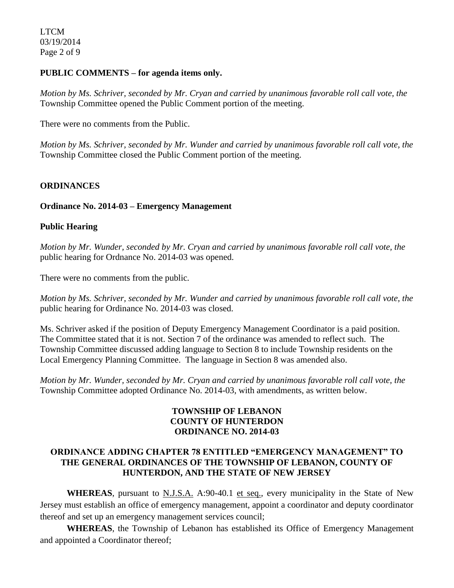### **PUBLIC COMMENTS – for agenda items only.**

*Motion by Ms. Schriver, seconded by Mr. Cryan and carried by unanimous favorable roll call vote, the* Township Committee opened the Public Comment portion of the meeting.

There were no comments from the Public.

*Motion by Ms. Schriver, seconded by Mr. Wunder and carried by unanimous favorable roll call vote, the* Township Committee closed the Public Comment portion of the meeting.

### **ORDINANCES**

### **Ordinance No. 2014-03 – Emergency Management**

#### **Public Hearing**

*Motion by Mr. Wunder, seconded by Mr. Cryan and carried by unanimous favorable roll call vote, the* public hearing for Ordnance No. 2014-03 was opened.

There were no comments from the public*.*

*Motion by Ms. Schriver, seconded by Mr. Wunder and carried by unanimous favorable roll call vote, the* public hearing for Ordinance No. 2014-03 was closed.

Ms. Schriver asked if the position of Deputy Emergency Management Coordinator is a paid position. The Committee stated that it is not. Section 7 of the ordinance was amended to reflect such. The Township Committee discussed adding language to Section 8 to include Township residents on the Local Emergency Planning Committee. The language in Section 8 was amended also.

*Motion by Mr. Wunder, seconded by Mr. Cryan and carried by unanimous favorable roll call vote, the* Township Committee adopted Ordinance No. 2014-03, with amendments, as written below.

## **TOWNSHIP OF LEBANON COUNTY OF HUNTERDON ORDINANCE NO. 2014-03**

## **ORDINANCE ADDING CHAPTER 78 ENTITLED "EMERGENCY MANAGEMENT" TO THE GENERAL ORDINANCES OF THE TOWNSHIP OF LEBANON, COUNTY OF HUNTERDON, AND THE STATE OF NEW JERSEY**

**WHEREAS**, pursuant to N.J.S.A. A:90-40.1 et seq., every municipality in the State of New Jersey must establish an office of emergency management, appoint a coordinator and deputy coordinator thereof and set up an emergency management services council;

**WHEREAS**, the Township of Lebanon has established its Office of Emergency Management and appointed a Coordinator thereof;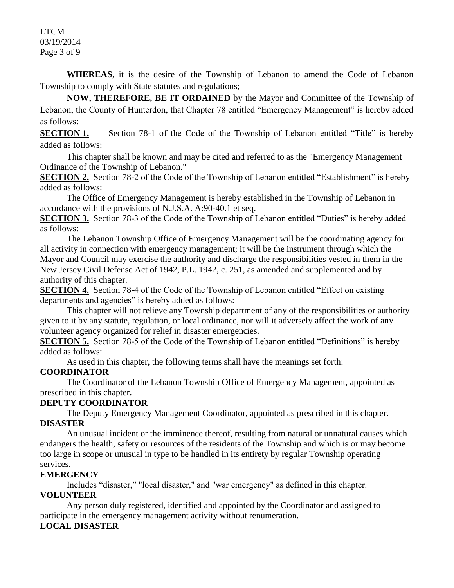LTCM 03/19/2014 Page 3 of 9

**WHEREAS**, it is the desire of the Township of Lebanon to amend the Code of Lebanon Township to comply with State statutes and regulations;

**NOW, THEREFORE, BE IT ORDAINED** by the Mayor and Committee of the Township of Lebanon, the County of Hunterdon, that Chapter 78 entitled "Emergency Management" is hereby added as follows:

**SECTION 1.** Section 78-1 of the Code of the Township of Lebanon entitled "Title" is hereby added as follows:

This chapter shall be known and may be cited and referred to as the "Emergency Management Ordinance of the Township of Lebanon."

**SECTION 2.** Section 78-2 of the Code of the Township of Lebanon entitled "Establishment" is hereby added as follows:

The Office of Emergency Management is hereby established in the Township of Lebanon in accordance with the provisions of N.J.S.A. A:90-40.1 et seq.

**SECTION 3.** Section 78-3 of the Code of the Township of Lebanon entitled "Duties" is hereby added as follows:

The Lebanon Township Office of Emergency Management will be the coordinating agency for all activity in connection with emergency management; it will be the instrument through which the Mayor and Council may exercise the authority and discharge the responsibilities vested in them in the New Jersey Civil Defense Act of 1942, P.L. 1942, c. 251, as amended and supplemented and by authority of this chapter.

**SECTION 4.** Section 78-4 of the Code of the Township of Lebanon entitled "Effect on existing departments and agencies" is hereby added as follows:

This chapter will not relieve any Township department of any of the responsibilities or authority given to it by any statute, regulation, or local ordinance, nor will it adversely affect the work of any volunteer agency organized for relief in disaster emergencies.

**SECTION 5.** Section 78-5 of the Code of the Township of Lebanon entitled "Definitions" is hereby added as follows:

As used in this chapter, the following terms shall have the meanings set forth:

## **COORDINATOR**

The Coordinator of the Lebanon Township Office of Emergency Management, appointed as prescribed in this chapter.

## **DEPUTY COORDINATOR**

The Deputy Emergency Management Coordinator, appointed as prescribed in this chapter. **DISASTER**

An unusual incident or the imminence thereof, resulting from natural or unnatural causes which endangers the health, safety or resources of the residents of the Township and which is or may become too large in scope or unusual in type to be handled in its entirety by regular Township operating services.

### **EMERGENCY**

Includes "disaster," "local disaster," and "war emergency" as defined in this chapter.

## **VOLUNTEER**

Any person duly registered, identified and appointed by the Coordinator and assigned to participate in the emergency management activity without renumeration.

## **LOCAL DISASTER**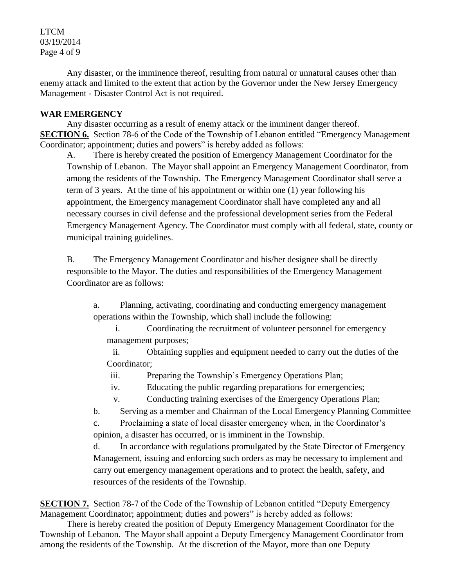LTCM 03/19/2014 Page 4 of 9

Any disaster, or the imminence thereof, resulting from natural or unnatural causes other than enemy attack and limited to the extent that action by the Governor under the New Jersey Emergency Management - Disaster Control Act is not required.

## **WAR EMERGENCY**

Any disaster occurring as a result of enemy attack or the imminent danger thereof. **SECTION 6.** Section 78-6 of the Code of the Township of Lebanon entitled "Emergency Management" Coordinator; appointment; duties and powers" is hereby added as follows:

A. There is hereby created the position of Emergency Management Coordinator for the Township of Lebanon. The Mayor shall appoint an Emergency Management Coordinator, from among the residents of the Township. The Emergency Management Coordinator shall serve a term of 3 years. At the time of his appointment or within one (1) year following his appointment, the Emergency management Coordinator shall have completed any and all necessary courses in civil defense and the professional development series from the Federal Emergency Management Agency. The Coordinator must comply with all federal, state, county or municipal training guidelines.

B. The Emergency Management Coordinator and his/her designee shall be directly responsible to the Mayor. The duties and responsibilities of the Emergency Management Coordinator are as follows:

a. Planning, activating, coordinating and conducting emergency management operations within the Township, which shall include the following:

i. Coordinating the recruitment of volunteer personnel for emergency management purposes;

ii. Obtaining supplies and equipment needed to carry out the duties of the Coordinator;

iii. Preparing the Township's Emergency Operations Plan;

iv. Educating the public regarding preparations for emergencies;

v. Conducting training exercises of the Emergency Operations Plan;

b. Serving as a member and Chairman of the Local Emergency Planning Committee

c. Proclaiming a state of local disaster emergency when, in the Coordinator's opinion, a disaster has occurred, or is imminent in the Township.

d. In accordance with regulations promulgated by the State Director of Emergency Management, issuing and enforcing such orders as may be necessary to implement and carry out emergency management operations and to protect the health, safety, and resources of the residents of the Township.

**SECTION 7.** Section 78-7 of the Code of the Township of Lebanon entitled "Deputy Emergency" Management Coordinator; appointment; duties and powers" is hereby added as follows:

There is hereby created the position of Deputy Emergency Management Coordinator for the Township of Lebanon. The Mayor shall appoint a Deputy Emergency Management Coordinator from among the residents of the Township. At the discretion of the Mayor, more than one Deputy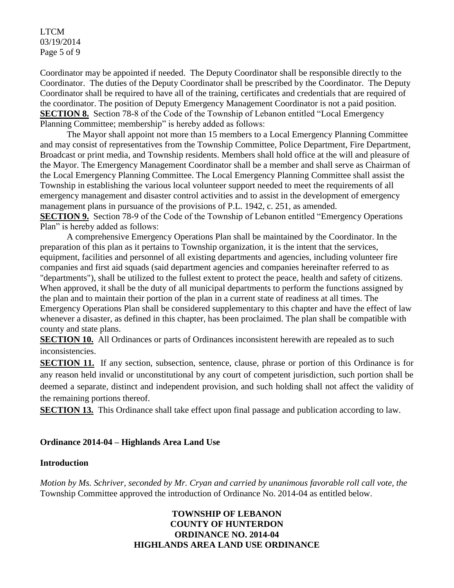LTCM 03/19/2014 Page 5 of 9

Coordinator may be appointed if needed. The Deputy Coordinator shall be responsible directly to the Coordinator. The duties of the Deputy Coordinator shall be prescribed by the Coordinator. The Deputy Coordinator shall be required to have all of the training, certificates and credentials that are required of the coordinator. The position of Deputy Emergency Management Coordinator is not a paid position. **SECTION 8.** Section 78-8 of the Code of the Township of Lebanon entitled "Local Emergency Planning Committee; membership" is hereby added as follows:

The Mayor shall appoint not more than 15 members to a Local Emergency Planning Committee and may consist of representatives from the Township Committee, Police Department, Fire Department, Broadcast or print media, and Township residents. Members shall hold office at the will and pleasure of the Mayor. The Emergency Management Coordinator shall be a member and shall serve as Chairman of the Local Emergency Planning Committee. The Local Emergency Planning Committee shall assist the Township in establishing the various local volunteer support needed to meet the requirements of all emergency management and disaster control activities and to assist in the development of emergency management plans in pursuance of the provisions of P.L. 1942, c. 251, as amended. **SECTION 9.** Section 78-9 of the Code of the Township of Lebanon entitled "Emergency Operations" Plan" is hereby added as follows:

A comprehensive Emergency Operations Plan shall be maintained by the Coordinator. In the preparation of this plan as it pertains to Township organization, it is the intent that the services, equipment, facilities and personnel of all existing departments and agencies, including volunteer fire companies and first aid squads (said department agencies and companies hereinafter referred to as "departments"), shall be utilized to the fullest extent to protect the peace, health and safety of citizens. When approved, it shall be the duty of all municipal departments to perform the functions assigned by the plan and to maintain their portion of the plan in a current state of readiness at all times. The Emergency Operations Plan shall be considered supplementary to this chapter and have the effect of law whenever a disaster, as defined in this chapter, has been proclaimed. The plan shall be compatible with county and state plans.

**SECTION 10.** All Ordinances or parts of Ordinances inconsistent herewith are repealed as to such inconsistencies.

**SECTION 11.** If any section, subsection, sentence, clause, phrase or portion of this Ordinance is for any reason held invalid or unconstitutional by any court of competent jurisdiction, such portion shall be deemed a separate, distinct and independent provision, and such holding shall not affect the validity of the remaining portions thereof.

**SECTION 13.** This Ordinance shall take effect upon final passage and publication according to law.

### **Ordinance 2014-04 – Highlands Area Land Use**

### **Introduction**

*Motion by Ms. Schriver, seconded by Mr. Cryan and carried by unanimous favorable roll call vote, the* Township Committee approved the introduction of Ordinance No. 2014-04 as entitled below.

## **TOWNSHIP OF LEBANON COUNTY OF HUNTERDON ORDINANCE NO. 2014-04 HIGHLANDS AREA LAND USE ORDINANCE**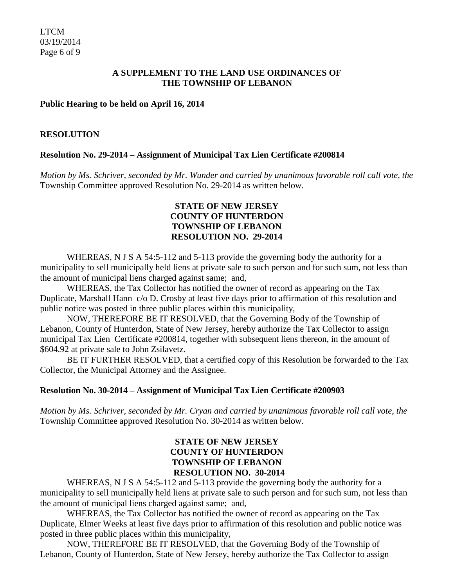## **A SUPPLEMENT TO THE LAND USE ORDINANCES OF THE TOWNSHIP OF LEBANON**

### **Public Hearing to be held on April 16, 2014**

### **RESOLUTION**

## **Resolution No. 29-2014 – Assignment of Municipal Tax Lien Certificate #200814**

*Motion by Ms. Schriver, seconded by Mr. Wunder and carried by unanimous favorable roll call vote, the* Township Committee approved Resolution No. 29-2014 as written below.

## **STATE OF NEW JERSEY COUNTY OF HUNTERDON TOWNSHIP OF LEBANON RESOLUTION NO. 29-2014**

WHEREAS, N J S A 54:5-112 and 5-113 provide the governing body the authority for a municipality to sell municipally held liens at private sale to such person and for such sum, not less than the amount of municipal liens charged against same; and,

WHEREAS, the Tax Collector has notified the owner of record as appearing on the Tax Duplicate, Marshall Hann c/o D. Crosby at least five days prior to affirmation of this resolution and public notice was posted in three public places within this municipality,

NOW, THEREFORE BE IT RESOLVED, that the Governing Body of the Township of Lebanon, County of Hunterdon, State of New Jersey, hereby authorize the Tax Collector to assign municipal Tax Lien Certificate #200814, together with subsequent liens thereon, in the amount of \$604.92 at private sale to John Zsilavetz.

BE IT FURTHER RESOLVED, that a certified copy of this Resolution be forwarded to the Tax Collector, the Municipal Attorney and the Assignee.

### **Resolution No. 30-2014 – Assignment of Municipal Tax Lien Certificate #200903**

*Motion by Ms. Schriver, seconded by Mr. Cryan and carried by unanimous favorable roll call vote*, *the* Township Committee approved Resolution No. 30-2014 as written below.

## **STATE OF NEW JERSEY COUNTY OF HUNTERDON TOWNSHIP OF LEBANON RESOLUTION NO. 30-2014**

WHEREAS, N J S A 54:5-112 and 5-113 provide the governing body the authority for a municipality to sell municipally held liens at private sale to such person and for such sum, not less than the amount of municipal liens charged against same; and,

WHEREAS, the Tax Collector has notified the owner of record as appearing on the Tax Duplicate, Elmer Weeks at least five days prior to affirmation of this resolution and public notice was posted in three public places within this municipality,

NOW, THEREFORE BE IT RESOLVED, that the Governing Body of the Township of Lebanon, County of Hunterdon, State of New Jersey, hereby authorize the Tax Collector to assign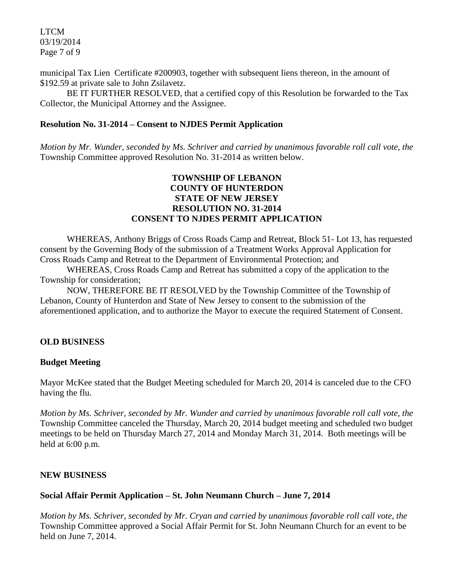LTCM 03/19/2014 Page 7 of 9

municipal Tax Lien Certificate #200903, together with subsequent liens thereon, in the amount of \$192.59 at private sale to John Zsilavetz.

BE IT FURTHER RESOLVED, that a certified copy of this Resolution be forwarded to the Tax Collector, the Municipal Attorney and the Assignee.

### **Resolution No. 31-2014 – Consent to NJDES Permit Application**

*Motion by Mr. Wunder, seconded by Ms. Schriver and carried by unanimous favorable roll call vote, the* Township Committee approved Resolution No. 31-2014 as written below.

## **TOWNSHIP OF LEBANON COUNTY OF HUNTERDON STATE OF NEW JERSEY RESOLUTION NO. 31-2014 CONSENT TO NJDES PERMIT APPLICATION**

WHEREAS, Anthony Briggs of Cross Roads Camp and Retreat, Block 51- Lot 13, has requested consent by the Governing Body of the submission of a Treatment Works Approval Application for Cross Roads Camp and Retreat to the Department of Environmental Protection; and

WHEREAS, Cross Roads Camp and Retreat has submitted a copy of the application to the Township for consideration;

NOW, THEREFORE BE IT RESOLVED by the Township Committee of the Township of Lebanon, County of Hunterdon and State of New Jersey to consent to the submission of the aforementioned application, and to authorize the Mayor to execute the required Statement of Consent.

### **OLD BUSINESS**

### **Budget Meeting**

Mayor McKee stated that the Budget Meeting scheduled for March 20, 2014 is canceled due to the CFO having the flu.

*Motion by Ms. Schriver, seconded by Mr. Wunder and carried by unanimous favorable roll call vote, the* Township Committee canceled the Thursday, March 20, 2014 budget meeting and scheduled two budget meetings to be held on Thursday March 27, 2014 and Monday March 31, 2014. Both meetings will be held at 6:00 p.m.

### **NEW BUSINESS**

### **Social Affair Permit Application – St. John Neumann Church – June 7, 2014**

*Motion by Ms. Schriver, seconded by Mr. Cryan and carried by unanimous favorable roll call vote, the* Township Committee approved a Social Affair Permit for St. John Neumann Church for an event to be held on June 7, 2014.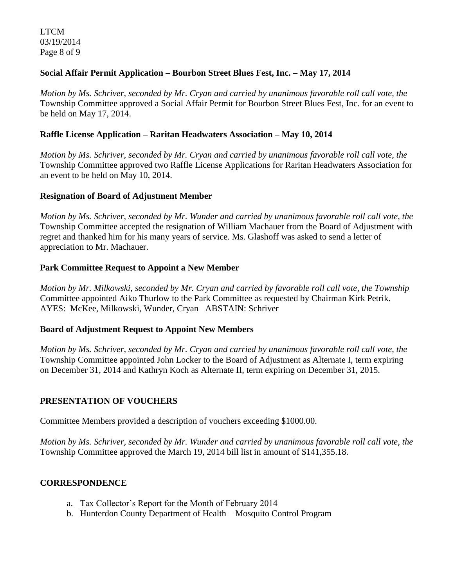LTCM 03/19/2014 Page 8 of 9

## **Social Affair Permit Application – Bourbon Street Blues Fest, Inc. – May 17, 2014**

*Motion by Ms. Schriver, seconded by Mr. Cryan and carried by unanimous favorable roll call vote, the* Township Committee approved a Social Affair Permit for Bourbon Street Blues Fest, Inc. for an event to be held on May 17, 2014.

## **Raffle License Application – Raritan Headwaters Association – May 10, 2014**

*Motion by Ms. Schriver, seconded by Mr. Cryan and carried by unanimous favorable roll call vote, the* Township Committee approved two Raffle License Applications for Raritan Headwaters Association for an event to be held on May 10, 2014.

### **Resignation of Board of Adjustment Member**

*Motion by Ms. Schriver, seconded by Mr. Wunder and carried by unanimous favorable roll call vote, the* Township Committee accepted the resignation of William Machauer from the Board of Adjustment with regret and thanked him for his many years of service. Ms. Glashoff was asked to send a letter of appreciation to Mr. Machauer.

## **Park Committee Request to Appoint a New Member**

*Motion by Mr. Milkowski, seconded by Mr. Cryan and carried by favorable roll call vote, the Township* Committee appointed Aiko Thurlow to the Park Committee as requested by Chairman Kirk Petrik. AYES: McKee, Milkowski, Wunder, Cryan ABSTAIN: Schriver

### **Board of Adjustment Request to Appoint New Members**

*Motion by Ms. Schriver, seconded by Mr. Cryan and carried by unanimous favorable roll call vote, the* Township Committee appointed John Locker to the Board of Adjustment as Alternate I, term expiring on December 31, 2014 and Kathryn Koch as Alternate II, term expiring on December 31, 2015.

## **PRESENTATION OF VOUCHERS**

Committee Members provided a description of vouchers exceeding \$1000.00.

*Motion by Ms. Schriver, seconded by Mr. Wunder and carried by unanimous favorable roll call vote, the* Township Committee approved the March 19, 2014 bill list in amount of \$141,355.18.

# **CORRESPONDENCE**

- a. Tax Collector's Report for the Month of February 2014
- b. Hunterdon County Department of Health Mosquito Control Program